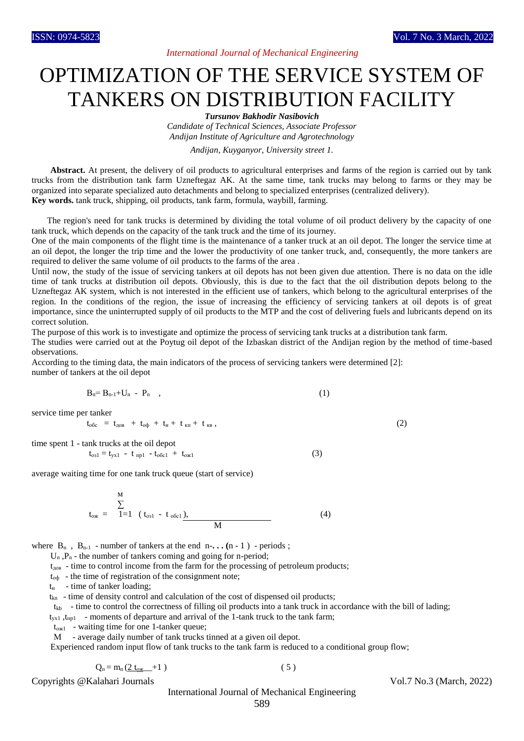## *International Journal of Mechanical Engineering*

# OPTIMIZATION OF THE SERVICE SYSTEM OF TANKERS ON DISTRIBUTION FACILITY

*Tursunov Bakhodir Nasibovich*

*Candidate of Technical Sciences, Associate Professor Andijan Institute of Agriculture and Agrotechnology*

*Andijan, Kuyganyor, University street 1.*

**Abstract.** At present, the delivery of oil products to agricultural enterprises and farms of the region is carried out by tank trucks from the distribution tank farm Uzneftegaz AK. At the same time, tank trucks may belong to farms or they may be organized into separate specialized auto detachments and belong to specialized enterprises (centralized delivery). **Кey words.** tank truck, shipping, oil products, tank farm, formula, waybill, farming.

 The region's need for tank trucks is determined by dividing the total volume of oil product delivery by the capacity of one tank truck, which depends on the capacity of the tank truck and the time of its journey.

One of the main components of the flight time is the maintenance of a tanker truck at an oil depot. The longer the service time at an oil depot, the longer the trip time and the lower the productivity of one tanker truck, and, consequently, the more tankers are required to deliver the same volume of oil products to the farms of the area .

Until now, the study of the issue of servicing tankers at oil depots has not been given due attention. There is no data on the idle time of tank trucks at distribution oil depots. Obviously, this is due to the fact that the oil distribution depots belong to the Uzneftegaz AK system, which is not interested in the efficient use of tankers, which belong to the agricultural enterprises of the region. In the conditions of the region, the issue of increasing the efficiency of servicing tankers at oil depots is of great importance, since the uninterrupted supply of oil products to the MTP and the cost of delivering fuels and lubricants depend on its correct solution.

The purpose of this work is to investigate and optimize the process of servicing tank trucks at a distribution tank farm.

The studies were carried out at the Poytug oil depot of the Izbaskan district of the Andijan region by the method of time-based observations.

According to the timing data, the main indicators of the process of servicing tankers were determined [2]: number of tankers at the oil depot

$$
B_n = B_{n-1} + U_n - P_n \quad , \tag{1}
$$

service time per tanker

$$
t_{o6c} = t_{\text{AOB}} + t_{o\phi} + t_{H} + t_{KH} + t_{KB}, \qquad (2)
$$

time spent 1 - tank trucks at the oil depot

$$
t_{o31} = t_{yx1} - t_{np1} - t_{o6c1} + t_{ox1}
$$
 (3)

average waiting time for one tank truck queue (start of service)

$$
t_{ox} = \sum_{1=1}^{M} (t_{o31} - t_{o6c1})
$$
\n
$$
M
$$
\n(4)

where  $B_n$ ,  $B_{n-1}$  - number of tankers at the end  $n-$ ...  $(n-1)$  - periods;

 $U_n$ ,  $P_n$  - the number of tankers coming and going for n-period;

 $t_{\text{top}}$  - time to control income from the farm for the processing of petroleum products;

 $t_{\text{od}}$  - the time of registration of the consignment note;

 $t_{\text{H}}$  - time of tanker loading;

 $t_{kn}$  - time of density control and calculation of the cost of dispensed oil products;

 $t_{kb}$  - time to control the correctness of filling oil products into a tank truck in accordance with the bill of lading;

 $t_{vx1}$ ,  $t_{np1}$  - moments of departure and arrival of the 1-tank truck to the tank farm;

tож1 - waiting time for one 1-tanker queue;

M - average daily number of tank trucks tinned at a given oil depot.

Experienced random input flow of tank trucks to the tank farm is reduced to a conditional group flow;

$$
Q_{\rm n} = m_{\rm n} \left( \underline{2 \ t_{\rm ox}} + 1 \ \right) \tag{5}
$$

Copyrights @Kalahari Journals Vol.7 No.3 (March, 2022)

International Journal of Mechanical Engineering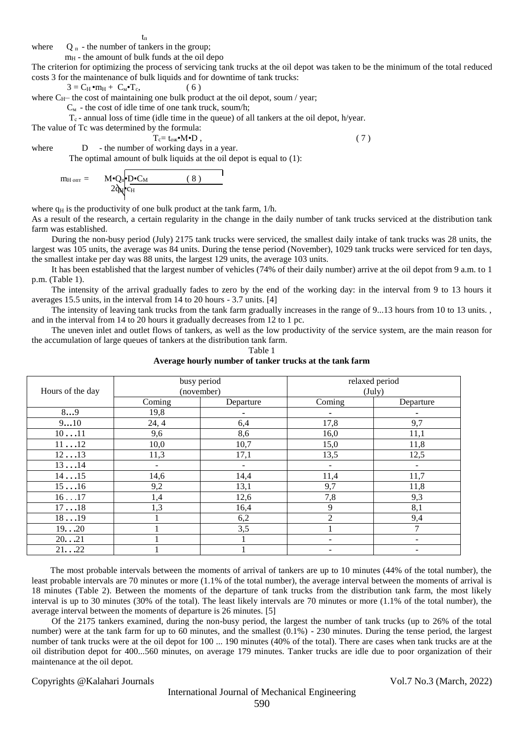$t_{\scriptscriptstyle \rm II}$ 

where  $Q_{\Pi}$  - the number of tankers in the group;

 $m<sub>H</sub>$  - the amount of bulk funds at the oil depo

The criterion for optimizing the process of servicing tank trucks at the oil depot was taken to be the minimum of the total reduced costs 3 for the maintenance of bulk liquids and for downtime of tank trucks:

 $3 = C_H \cdot m_H + C_M \cdot T_c,$  (6)

where  $C_{H}$ – the cost of maintaining one bulk product at the oil depot, soum / year;

 $C_M$  - the cost of idle time of one tank truck, soum/h;

 $T_c$ - annual loss of time (idle time in the queue) of all tankers at the oil depot, h/year.

The value of Tc was determined by the formula:

$$
T_c = t_{ox} \cdot M \cdot D \t{1}, \t(7)
$$

where D - the number of working days in a year. The optimal amount of bulk liquids at the oil depot is equal to (1):

$$
m_{H \text{ our}} = \mathbf{M} \cdot \mathbf{Q}_{n} \cdot \mathbf{D} \cdot \mathbf{C}_{M} \qquad (8)
$$

where  $q_H$  is the productivity of one bulk product at the tank farm,  $1/h$ .

As a result of the research, a certain regularity in the change in the daily number of tank trucks serviced at the distribution tank farm was established.

 During the non-busy period (July) 2175 tank trucks were serviced, the smallest daily intake of tank trucks was 28 units, the largest was 105 units, the average was 84 units. During the tense period (November), 1029 tank trucks were serviced for ten days, the smallest intake per day was 88 units, the largest 129 units, the average 103 units.

 It has been established that the largest number of vehicles (74% of their daily number) arrive at the oil depot from 9 a.m. to 1 p.m. (Table 1).

 The intensity of the arrival gradually fades to zero by the end of the working day: in the interval from 9 to 13 hours it averages 15.5 units, in the interval from 14 to 20 hours - 3.7 units. [4]

 The intensity of leaving tank trucks from the tank farm gradually increases in the range of 9...13 hours from 10 to 13 units. , and in the interval from 14 to 20 hours it gradually decreases from 12 to 1 pc.

 The uneven inlet and outlet flows of tankers, as well as the low productivity of the service system, are the main reason for the accumulation of large queues of tankers at the distribution tank farm.

Table 1

**Average hourly number of tanker trucks at the tank farm**

| Hours of the day |                | busy period<br>(november) | relaxed period<br>$(\text{July})$ |                          |  |  |  |
|------------------|----------------|---------------------------|-----------------------------------|--------------------------|--|--|--|
|                  | Coming         | Departure                 | Coming                            | Departure                |  |  |  |
| 89               | 19,8           |                           | $\blacksquare$                    |                          |  |  |  |
| 910              | 24, 4          | 6,4                       | 17,8                              | 9,7                      |  |  |  |
| 1011             | 9,6            | 8,6                       | 16,0                              | 11,1                     |  |  |  |
| 1112             | 10,0           | 10,7                      | 15,0                              | 11,8                     |  |  |  |
| 1213             | 11,3           | 17,1                      | 13,5                              | 12,5                     |  |  |  |
| 1314             | $\blacksquare$ | $\qquad \qquad -$         | $\overline{\phantom{a}}$          | $\overline{\phantom{0}}$ |  |  |  |
| 1415             | 14,6           | 14,4                      | 11,4                              | 11,7                     |  |  |  |
| 1516             | 9,2            | 13,1                      | 9,7                               | 11,8                     |  |  |  |
| 1617             | 1,4            | 12,6                      | 7,8                               | 9,3                      |  |  |  |
| 1718             | 1,3            | 16,4                      | 9                                 | 8,1                      |  |  |  |
| 1819             |                | 6,2                       | $\overline{2}$                    | 9,4                      |  |  |  |
| 1920             |                | 3,5                       |                                   |                          |  |  |  |
| 2021             |                |                           | -                                 | $\overline{\phantom{a}}$ |  |  |  |
| 2122             |                |                           | -                                 | $\overline{\phantom{0}}$ |  |  |  |

The most probable intervals between the moments of arrival of tankers are up to 10 minutes (44% of the total number), the least probable intervals are 70 minutes or more (1.1% of the total number), the average interval between the moments of arrival is 18 minutes (Table 2). Between the moments of the departure of tank trucks from the distribution tank farm, the most likely interval is up to 30 minutes (30% of the total). The least likely intervals are 70 minutes or more (1.1% of the total number), the average interval between the moments of departure is 26 minutes. [5]

 Of the 2175 tankers examined, during the non-busy period, the largest the number of tank trucks (up to 26% of the total number) were at the tank farm for up to 60 minutes, and the smallest (0.1%) - 230 minutes. During the tense period, the largest number of tank trucks were at the oil depot for 100 ... 190 minutes (40% of the total). There are cases when tank trucks are at the oil distribution depot for 400...560 minutes, on average 179 minutes. Tanker trucks are idle due to poor organization of their maintenance at the oil depot.

Copyrights @Kalahari Journals Vol.7 No.3 (March, 2022)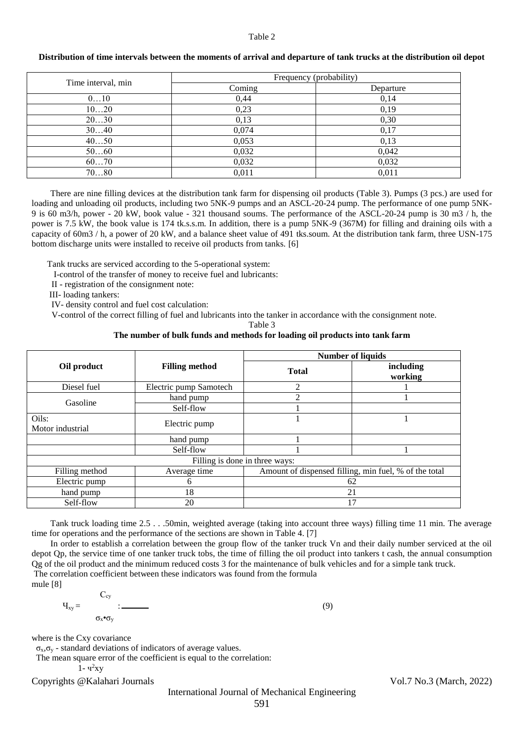#### Table 2

|                    | Frequency (probability) |           |  |  |  |  |  |  |
|--------------------|-------------------------|-----------|--|--|--|--|--|--|
| Time interval, min | Coming                  | Departure |  |  |  |  |  |  |
| 010                | 0,44                    | 0,14      |  |  |  |  |  |  |
| 1020               | 0,23                    | 0,19      |  |  |  |  |  |  |
| 2030               | 0,13                    | 0,30      |  |  |  |  |  |  |
| 3040               | 0,074                   | 0,17      |  |  |  |  |  |  |
| 4050               | 0,053                   | 0,13      |  |  |  |  |  |  |
| 5060               | 0,032                   | 0,042     |  |  |  |  |  |  |
| 6070               | 0,032                   | 0,032     |  |  |  |  |  |  |
| 7080               | 0,011                   | 0,011     |  |  |  |  |  |  |

#### **Distribution of time intervals between the moments of arrival and departure of tank trucks at the distribution oil depot**

There are nine filling devices at the distribution tank farm for dispensing oil products (Table 3). Pumps (3 pcs.) are used for loading and unloading oil products, including two 5NK-9 pumps and an ASCL-20-24 pump. The performance of one pump 5NK-9 is 60 m3/h, power - 20 kW, book value - 321 thousand soums. The performance of the ASCL-20-24 pump is 30 m3 / h, the power is 7.5 kW, the book value is 174 tk.s.s.m. In addition, there is a pump 5NK-9 (367M) for filling and draining oils with a capacity of 60m3 / h, a power of 20 kW, and a balance sheet value of 491 tks.soum. At the distribution tank farm, three USN-175 bottom discharge units were installed to receive oil products from tanks. [6]

Tank trucks are serviced according to the 5-operational system:

I-control of the transfer of money to receive fuel and lubricants:

II - registration of the consignment note:

III- loading tankers:

IV- density control and fuel cost calculation:

V-control of the correct filling of fuel and lubricants into the tanker in accordance with the consignment note.

Table 3

### **The number of bulk funds and methods for loading oil products into tank farm**

|                           |                        | <b>Number of liquids</b>                              |                      |  |  |  |  |  |
|---------------------------|------------------------|-------------------------------------------------------|----------------------|--|--|--|--|--|
| Oil product               | <b>Filling method</b>  | <b>Total</b>                                          | including<br>working |  |  |  |  |  |
| Diesel fuel               | Electric pump Samotech | 2                                                     |                      |  |  |  |  |  |
| Gasoline                  | hand pump              | $\mathfrak{D}$                                        |                      |  |  |  |  |  |
|                           | Self-flow              |                                                       |                      |  |  |  |  |  |
| Oils:<br>Motor industrial | Electric pump          |                                                       |                      |  |  |  |  |  |
|                           | hand pump              |                                                       |                      |  |  |  |  |  |
|                           | Self-flow              |                                                       |                      |  |  |  |  |  |
|                           |                        | Filling is done in three ways:                        |                      |  |  |  |  |  |
| Filling method            | Average time           | Amount of dispensed filling, min fuel, % of the total |                      |  |  |  |  |  |
| Electric pump<br>6        |                        | 62                                                    |                      |  |  |  |  |  |
| 18<br>hand pump           |                        | 21                                                    |                      |  |  |  |  |  |
| Self-flow                 | 17                     |                                                       |                      |  |  |  |  |  |

Tank truck loading time 2.5 . . .50min, weighted average (taking into account three ways) filling time 11 min. The average time for operations and the performance of the sections are shown in Table 4. [7]

In order to establish a correlation between the group flow of the tanker truck Vn and their daily number serviced at the oil depot Qp, the service time of one tanker truck tobs, the time of filling the oil product into tankers t cash, the annual consumption Qg of the oil product and the minimum reduced costs 3 for the maintenance of bulk vehicles and for a simple tank truck. The correlation coefficient between these indicators was found from the formula

 $C_{cy}$  $\Psi_{xy} =$  : (9) σх•σ<sup>у</sup>

where is the Cxy covariance

mule [8]

 $\sigma_x$ ,  $\sigma_y$  - standard deviations of indicators of average values.

The mean square error of the coefficient is equal to the correlation:

1- ч 2ху

Copyrights @Kalahari Journals Vol.7 No.3 (March, 2022)

International Journal of Mechanical Engineering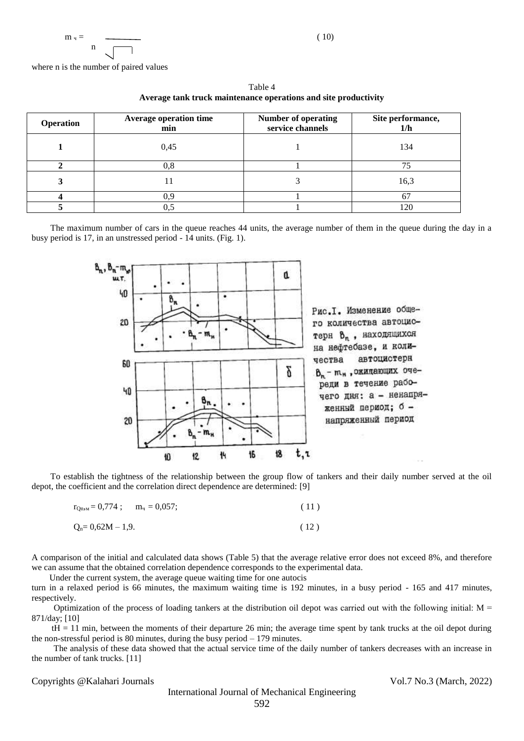$$
m_{\nu} = \frac{1}{n}
$$
 (10)

where n is the number of paired values

| <b>Operation</b> | <b>Average operation time</b><br>min | <b>Number of operating</b><br>service channels | Site performance,<br>1/h |
|------------------|--------------------------------------|------------------------------------------------|--------------------------|
|                  | 0,45                                 |                                                | 134                      |
|                  | $_{0.8}$                             |                                                |                          |
|                  |                                      |                                                | 16.3                     |
|                  | ).S                                  |                                                |                          |
|                  |                                      |                                                |                          |

Table 4 **Average tank truck maintenance operations and site productivity**

The maximum number of cars in the queue reaches 44 units, the average number of them in the queue during the day in a busy period is 17, in an unstressed period - 14 units. (Fig. 1).



To establish the tightness of the relationship between the group flow of tankers and their daily number served at the oil depot, the coefficient and the correlation direct dependence are determined: [9]

| $r_{\text{On,M}} = 0.774$ ; $m_{\text{H}} = 0.057$ ; | (11) |
|------------------------------------------------------|------|
| $Q_n = 0.62M - 1.9$ .                                | (12) |

A comparison of the initial and calculated data shows (Table 5) that the average relative error does not exceed 8%, and therefore we can assume that the obtained correlation dependence corresponds to the experimental data.

Under the current system, the average queue waiting time for one autocis

turn in a relaxed period is 66 minutes, the maximum waiting time is 192 minutes, in a busy period - 165 and 417 minutes, respectively.

Optimization of the process of loading tankers at the distribution oil depot was carried out with the following initial:  $M =$ 871/day; [10]

 tH = 11 min, between the moments of their departure 26 min; the average time spent by tank trucks at the oil depot during the non-stressful period is 80 minutes, during the busy period – 179 minutes.

 The analysis of these data showed that the actual service time of the daily number of tankers decreases with an increase in the number of tank trucks. [11]

Copyrights @Kalahari Journals Vol.7 No.3 (March, 2022)

International Journal of Mechanical Engineering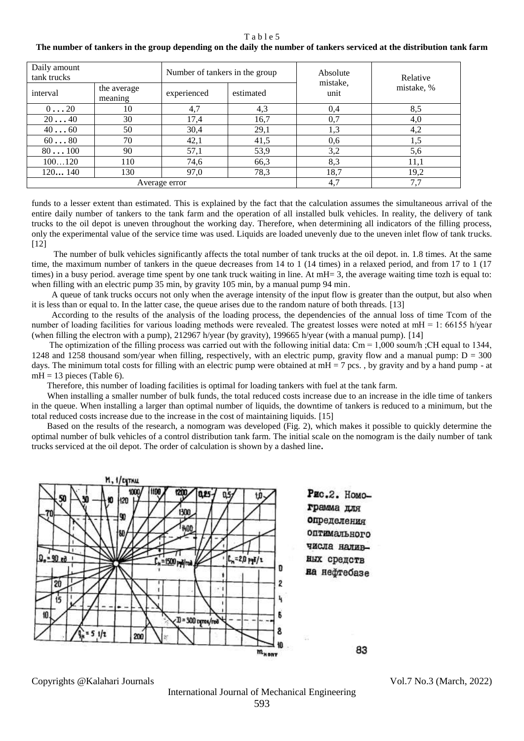#### Table 5

## **The number of tankers in the group depending on the daily the number of tankers serviced at the distribution tank farm**

| Daily amount<br>tank trucks |                        | Number of tankers in the group |           | Absolute<br>mistake, | Relative   |  |  |
|-----------------------------|------------------------|--------------------------------|-----------|----------------------|------------|--|--|
| interval                    | the average<br>meaning | experienced                    | estimated | unit                 | mistake, % |  |  |
| 020                         | 10                     | 4,7                            | 4,3       | 0,4                  | 8,5        |  |  |
| 2040                        | 30                     | 17,4                           | 16,7      | 0,7                  | 4,0        |  |  |
| $40 \ldots 60$              | 50                     | 30,4                           | 29,1      | 1,3                  | 4,2        |  |  |
| $60 \ldots 80$              | 70                     | 42,1                           | 41,5      | 0,6                  | l.5        |  |  |
| 80100                       | 90                     | 57,1                           | 53,9      | 3,2                  | 5,6        |  |  |
| 100120                      | 110                    | 74,6                           | 66,3      | 8,3                  | 11,1       |  |  |
| 120140                      | 130                    | 97,0                           | 78,3      | 18,7                 | 19,2       |  |  |
|                             |                        | Average error                  |           | 4,7                  | 7,7        |  |  |

funds to a lesser extent than estimated. This is explained by the fact that the calculation assumes the simultaneous arrival of the entire daily number of tankers to the tank farm and the operation of all installed bulk vehicles. In reality, the delivery of tank trucks to the oil depot is uneven throughout the working day. Therefore, when determining all indicators of the filling process, only the experimental value of the service time was used. Liquids are loaded unevenly due to the uneven inlet flow of tank trucks. [12]

 The number of bulk vehicles significantly affects the total number of tank trucks at the oil depot. in. 1.8 times. At the same time, the maximum number of tankers in the queue decreases from 14 to 1 (14 times) in a relaxed period, and from 17 to 1 (17 times) in a busy period. average time spent by one tank truck waiting in line. At mH= 3, the average waiting time tozh is equal to: when filling with an electric pump 35 min, by gravity 105 min, by a manual pump 94 min.

 A queue of tank trucks occurs not only when the average intensity of the input flow is greater than the output, but also when it is less than or equal to. In the latter case, the queue arises due to the random nature of both threads. [13]

 According to the results of the analysis of the loading process, the dependencies of the annual loss of time Tcom of the number of loading facilities for various loading methods were revealed. The greatest losses were noted at mH = 1: 66155 h/year (when filling the electron with a pump), 212967 h/year (by gravity), 199665 h/year (with a manual pump). [14]

The optimization of the filling process was carried out with the following initial data: Cm = 1,000 soum/h;CH equal to 1344, 1248 and 1258 thousand som/year when filling, respectively, with an electric pump, gravity flow and a manual pump:  $D = 300$ days. The minimum total costs for filling with an electric pump were obtained at  $mH = 7$  pcs., by gravity and by a hand pump - at  $mH = 13$  pieces (Table 6).

Therefore, this number of loading facilities is optimal for loading tankers with fuel at the tank farm.

 When installing a smaller number of bulk funds, the total reduced costs increase due to an increase in the idle time of tankers in the queue. When installing a larger than optimal number of liquids, the downtime of tankers is reduced to a minimum, but the total reduced costs increase due to the increase in the cost of maintaining liquids. [15]

 Based on the results of the research, a nomogram was developed (Fig. 2), which makes it possible to quickly determine the optimal number of bulk vehicles of a control distribution tank farm. The initial scale on the nomogram is the daily number of tank trucks serviced at the oil depot. The order of calculation is shown by a dashed line**.**



Copyrights @Kalahari Journals Vol.7 No.3 (March, 2022)

International Journal of Mechanical Engineering 593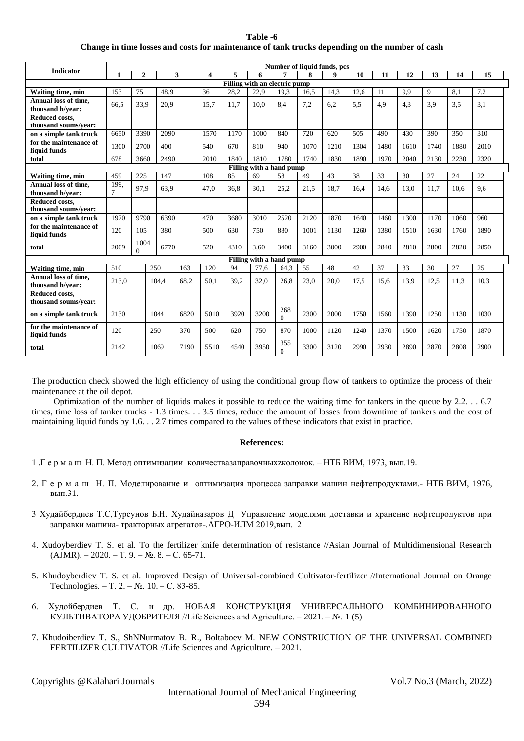| Table -6                                                                                       |
|------------------------------------------------------------------------------------------------|
| Change in time losses and costs for maintenance of tank trucks depending on the number of cash |

| <b>Indicator</b>                         |              |                  |       |      |      |      |                          |                 |      | Number of liquid funds, pcs |      |      |      |      |      |      |
|------------------------------------------|--------------|------------------|-------|------|------|------|--------------------------|-----------------|------|-----------------------------|------|------|------|------|------|------|
|                                          | $\mathbf{1}$ | $\mathbf{2}$     |       | 3    | 4    | 5    | 6                        | 7               | 8    | 9                           | 10   | 11   | 12   | 13   | 14   | 15   |
| Filling with an electric pump            |              |                  |       |      |      |      |                          |                 |      |                             |      |      |      |      |      |      |
| Waiting time, min                        | 153          | 75               | 48.9  |      | 36   | 28,2 | 22,9                     | 19,3            | 16,5 | 14,3                        | 12,6 | 11   | 9.9  | 9    | 8.1  | 7,2  |
| Annual loss of time.<br>thousand h/vear: | 66.5         | 33.9             | 20.9  |      | 15.7 | 11.7 | 10.0                     | 8.4             | 7.2  | 6,2                         | 5.5  | 4.9  | 4.3  | 3.9  | 3.5  | 3.1  |
| Reduced costs,                           |              |                  |       |      |      |      |                          |                 |      |                             |      |      |      |      |      |      |
| thousand soums/vear:                     |              |                  |       |      |      |      |                          |                 |      |                             |      |      |      |      |      |      |
| on a simple tank truck                   | 6650         | 3390             | 2090  |      | 1570 | 1170 | 1000                     | 840             | 720  | 620                         | 505  | 490  | 430  | 390  | 350  | 310  |
| for the maintenance of                   | 1300         | 2700             | 400   |      | 540  | 670  | 810                      | 940             | 1070 | 1210                        | 1304 | 1480 | 1610 | 1740 | 1880 | 2010 |
| liquid funds                             | 678          | 3660             | 2490  |      | 2010 | 1840 | 1810                     | 1780            | 1740 | 1830                        | 1890 | 1970 | 2040 | 2130 | 2230 | 2320 |
| total                                    |              |                  |       |      |      |      | Filling with a hand pump |                 |      |                             |      |      |      |      |      |      |
|                                          | 459          | 225              | 147   |      | 108  | 85   | 69                       | 58              | 49   | 43                          | 38   | 33   | 30   | 27   | 24   | 22   |
| Waiting time, min                        |              |                  |       |      |      |      |                          |                 |      |                             |      |      |      |      |      |      |
| Annual loss of time,<br>thousand h/vear: | 199.<br>7    | 97,9             | 63,9  |      | 47,0 | 36,8 | 30,1                     | 25,2            | 21,5 | 18,7                        | 16,4 | 14,6 | 13,0 | 11,7 | 10.6 | 9,6  |
| Reduced costs,<br>thousand soums/year:   |              |                  |       |      |      |      |                          |                 |      |                             |      |      |      |      |      |      |
| on a simple tank truck                   | 1970         | 9790             | 6390  |      | 470  | 3680 | 3010                     | 2520            | 2120 | 1870                        | 1640 | 1460 | 1300 | 1170 | 1060 | 960  |
| for the maintenance of                   |              |                  |       |      |      |      |                          |                 |      |                             |      |      |      |      |      |      |
| liquid funds                             | 120          | 105              | 380   |      | 500  | 630  | 750                      | 880             | 1001 | 1130                        | 1260 | 1380 | 1510 | 1630 | 1760 | 1890 |
| total                                    | 2009         | 1004<br>$\Omega$ | 6770  |      | 520  | 4310 | 3.60                     | 3400            | 3160 | 3000                        | 2900 | 2840 | 2810 | 2800 | 2820 | 2850 |
|                                          |              |                  |       |      |      |      | Filling with a hand pump |                 |      |                             |      |      |      |      |      |      |
| Waiting time, min                        | 510          |                  | 250   | 163  | 120  | 94   | 77,6                     | 64.3            | 55   | 48                          | 42   | 37   | 33   | 30   | 27   | 25   |
| Annual loss of time,<br>thousand h/vear: | 213.0        |                  | 104.4 | 68.2 | 50.1 | 39,2 | 32,0                     | 26.8            | 23,0 | 20.0                        | 17.5 | 15.6 | 13.9 | 12.5 | 11.3 | 10.3 |
| Reduced costs,<br>thousand soums/year:   |              |                  |       |      |      |      |                          |                 |      |                             |      |      |      |      |      |      |
| on a simple tank truck                   | 2130         |                  | 1044  | 6820 | 5010 | 3920 | 3200                     | 268<br>$\Omega$ | 2300 | 2000                        | 1750 | 1560 | 1390 | 1250 | 1130 | 1030 |
| for the maintenance of<br>liquid funds   | 120          |                  | 250   | 370  | 500  | 620  | 750                      | 870             | 1000 | 1120                        | 1240 | 1370 | 1500 | 1620 | 1750 | 1870 |
| total                                    | 2142         |                  | 1069  | 7190 | 5510 | 4540 | 3950                     | 355<br>$\Omega$ | 3300 | 3120                        | 2990 | 2930 | 2890 | 2870 | 2808 | 2900 |

The production check showed the high efficiency of using the conditional group flow of tankers to optimize the process of their maintenance at the oil depot.

 Optimization of the number of liquids makes it possible to reduce the waiting time for tankers in the queue by 2.2. . . 6.7 times, time loss of tanker trucks - 1.3 times. . . 3.5 times, reduce the amount of losses from downtime of tankers and the cost of maintaining liquid funds by 1.6. . . 2.7 times compared to the values of these indicators that exist in practice.

## **References:**

- 1 .Г е р м а ш Н. П. Метод оптимизации количествазаправочныхzколонок. НТБ ВИМ, 1973, вып.19.
- 2. Г е р м а ш Н. П. Моделирование и оптимизация процесса заправки машин нефтепродуктами.- НТБ ВИМ, 1976, вып.31.
- 3 Худайбердиев Т.С,Турсунов Б.Н. Худайназаров Д Управление моделями доставки и хранение нефтепродуктов при заправки машина- тракторных агрегатов-.AГРО-ИЛМ 2019,вып. 2
- 4. Xudoyberdiev T. S. et al. To the fertilizer knife determination of resistance //Asian Journal of Multidimensional Research  $(AJMR)$ . – 2020. – T. 9. – N. 8. – C. 65-71.
- 5. Khudoyberdiev T. S. et al. Improved Design of Universal-combined Cultivator-fertilizer //International Journal on Orange Technologies. – Т. 2. – №. 10. – С. 83-85.
- 6. Худойбердиев Т. С. и др. НОВАЯ КОНСТРУКЦИЯ УНИВЕРСАЛЬНОГО КОМБИНИРОВАННОГО КУЛЬТИВАТОРА УДОБРИТЕЛЯ //Life Sciences and Agriculture. – 2021. – №. 1 (5).
- 7. Khudoiberdiev T. S., ShNNurmatov B. R., Boltaboev M. NEW CONSTRUCTION OF THE UNIVERSAL COMBINED FERTILIZER CULTIVATOR //Life Sciences and Agriculture. – 2021.